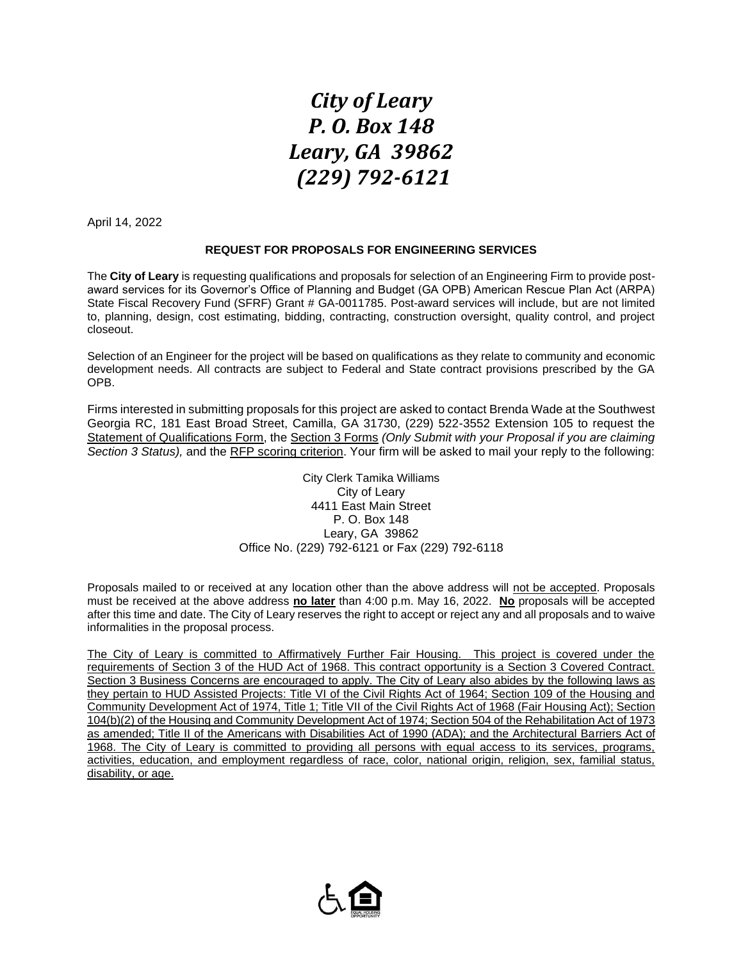## *City of Leary P. O. Box 148 Leary, GA 39862 (229) 792-6121*

April 14, 2022

## **REQUEST FOR PROPOSALS FOR ENGINEERING SERVICES**

The **City of Leary** is requesting qualifications and proposals for selection of an Engineering Firm to provide postaward services for its Governor's Office of Planning and Budget (GA OPB) American Rescue Plan Act (ARPA) State Fiscal Recovery Fund (SFRF) Grant # GA-0011785. Post-award services will include, but are not limited to, planning, design, cost estimating, bidding, contracting, construction oversight, quality control, and project closeout.

Selection of an Engineer for the project will be based on qualifications as they relate to community and economic development needs. All contracts are subject to Federal and State contract provisions prescribed by the GA OPB.

Firms interested in submitting proposals for this project are asked to contact Brenda Wade at the Southwest Georgia RC, 181 East Broad Street, Camilla, GA 31730, (229) 522-3552 Extension 105 to request the Statement of Qualifications Form, the Section 3 Forms *(Only Submit with your Proposal if you are claiming Section 3 Status),* and the RFP scoring criterion. Your firm will be asked to mail your reply to the following:

> City Clerk Tamika Williams City of Leary 4411 East Main Street P. O. Box 148 Leary, GA 39862 Office No. (229) 792-6121 or Fax (229) 792-6118

Proposals mailed to or received at any location other than the above address will not be accepted. Proposals must be received at the above address **no later** than 4:00 p.m. May 16, 2022. **No** proposals will be accepted after this time and date. The City of Leary reserves the right to accept or reject any and all proposals and to waive informalities in the proposal process.

The City of Leary is committed to Affirmatively Further Fair Housing. This project is covered under the requirements of Section 3 of the HUD Act of 1968. This contract opportunity is a Section 3 Covered Contract. Section 3 Business Concerns are encouraged to apply. The City of Leary also abides by the following laws as they pertain to HUD Assisted Projects: Title VI of the Civil Rights Act of 1964; Section 109 of the Housing and Community Development Act of 1974, Title 1; Title VII of the Civil Rights Act of 1968 (Fair Housing Act); Section 104(b)(2) of the Housing and Community Development Act of 1974; Section 504 of the Rehabilitation Act of 1973 as amended; Title II of the Americans with Disabilities Act of 1990 (ADA); and the Architectural Barriers Act of 1968. The City of Leary is committed to providing all persons with equal access to its services, programs, activities, education, and employment regardless of race, color, national origin, religion, sex, familial status, disability, or age.